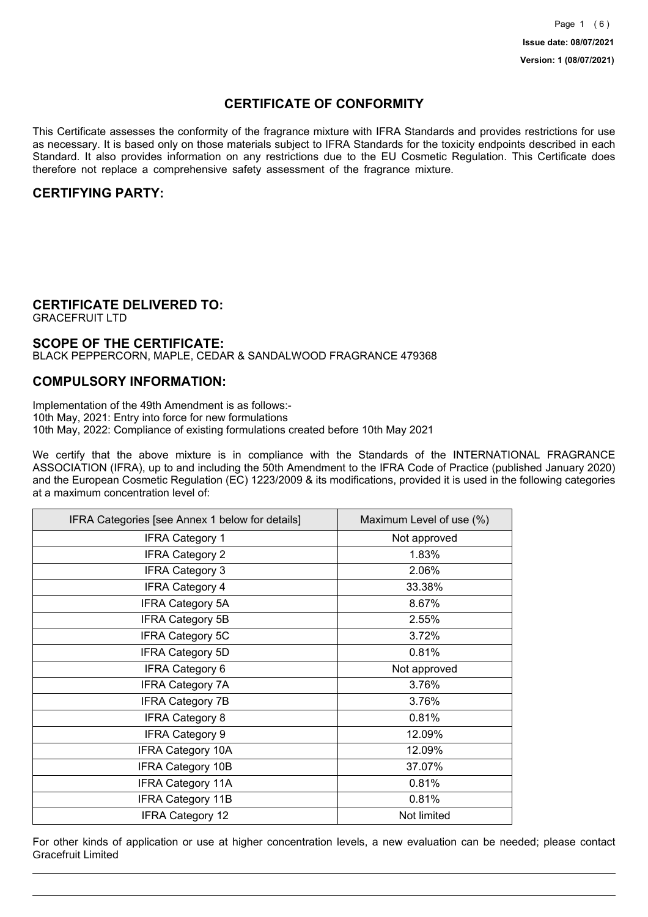## **CERTIFICATE OF CONFORMITY**

This Certificate assesses the conformity of the fragrance mixture with IFRA Standards and provides restrictions for use as necessary. It is based only on those materials subject to IFRA Standards for the toxicity endpoints described in each Standard. It also provides information on any restrictions due to the EU Cosmetic Regulation. This Certificate does therefore not replace a comprehensive safety assessment of the fragrance mixture.

### **CERTIFYING PARTY:**

## **CERTIFICATE DELIVERED TO:**

GRACEFRUIT LTD

#### **SCOPE OF THE CERTIFICATE:**

BLACK PEPPERCORN, MAPLE, CEDAR & SANDALWOOD FRAGRANCE 479368

### **COMPULSORY INFORMATION:**

Implementation of the 49th Amendment is as follows:- 10th May, 2021: Entry into force for new formulations 10th May, 2022: Compliance of existing formulations created before 10th May 2021

We certify that the above mixture is in compliance with the Standards of the INTERNATIONAL FRAGRANCE ASSOCIATION (IFRA), up to and including the 50th Amendment to the IFRA Code of Practice (published January 2020) and the European Cosmetic Regulation (EC) 1223/2009 & its modifications, provided it is used in the following categories at a maximum concentration level of:

| IFRA Categories [see Annex 1 below for details] | Maximum Level of use (%) |
|-------------------------------------------------|--------------------------|
| <b>IFRA Category 1</b>                          | Not approved             |
| <b>IFRA Category 2</b>                          | 1.83%                    |
| <b>IFRA Category 3</b>                          | 2.06%                    |
| <b>IFRA Category 4</b>                          | 33.38%                   |
| <b>IFRA Category 5A</b>                         | 8.67%                    |
| <b>IFRA Category 5B</b>                         | 2.55%                    |
| <b>IFRA Category 5C</b>                         | 3.72%                    |
| <b>IFRA Category 5D</b>                         | 0.81%                    |
| <b>IFRA Category 6</b>                          | Not approved             |
| <b>IFRA Category 7A</b>                         | 3.76%                    |
| <b>IFRA Category 7B</b>                         | 3.76%                    |
| <b>IFRA Category 8</b>                          | 0.81%                    |
| <b>IFRA Category 9</b>                          | 12.09%                   |
| <b>IFRA Category 10A</b>                        | 12.09%                   |
| <b>IFRA Category 10B</b>                        | 37.07%                   |
| <b>IFRA Category 11A</b>                        | 0.81%                    |
| <b>IFRA Category 11B</b>                        | 0.81%                    |
| <b>IFRA Category 12</b>                         | Not limited              |

For other kinds of application or use at higher concentration levels, a new evaluation can be needed; please contact Gracefruit Limited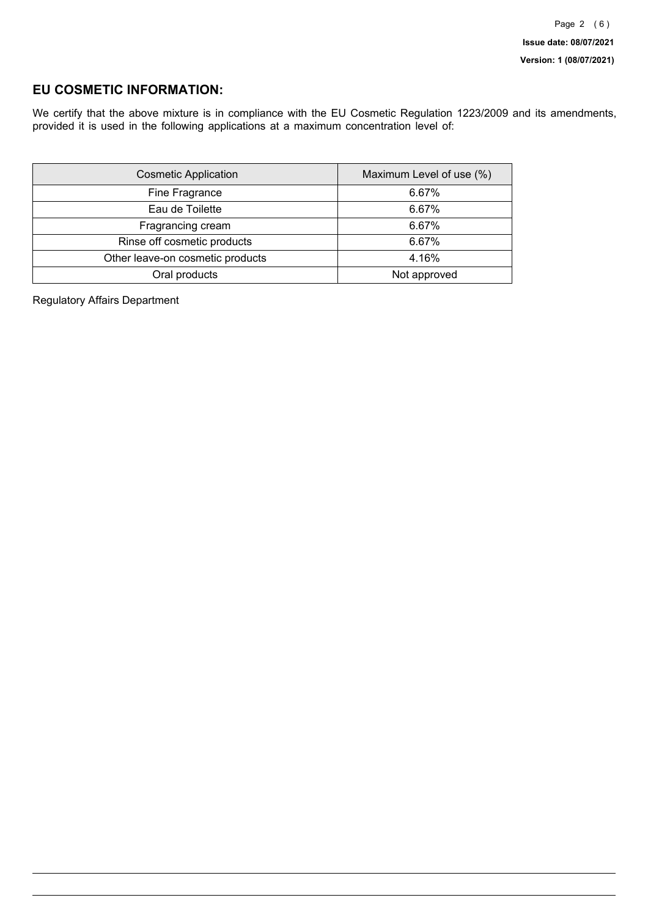### **EU COSMETIC INFORMATION:**

We certify that the above mixture is in compliance with the EU Cosmetic Regulation 1223/2009 and its amendments, provided it is used in the following applications at a maximum concentration level of:

| <b>Cosmetic Application</b>      | Maximum Level of use (%) |
|----------------------------------|--------------------------|
| Fine Fragrance                   | 6.67%                    |
| Eau de Toilette                  | 6.67%                    |
| Fragrancing cream                | 6.67%                    |
| Rinse off cosmetic products      | 6.67%                    |
| Other leave-on cosmetic products | 4.16%                    |
| Oral products                    | Not approved             |

Regulatory Affairs Department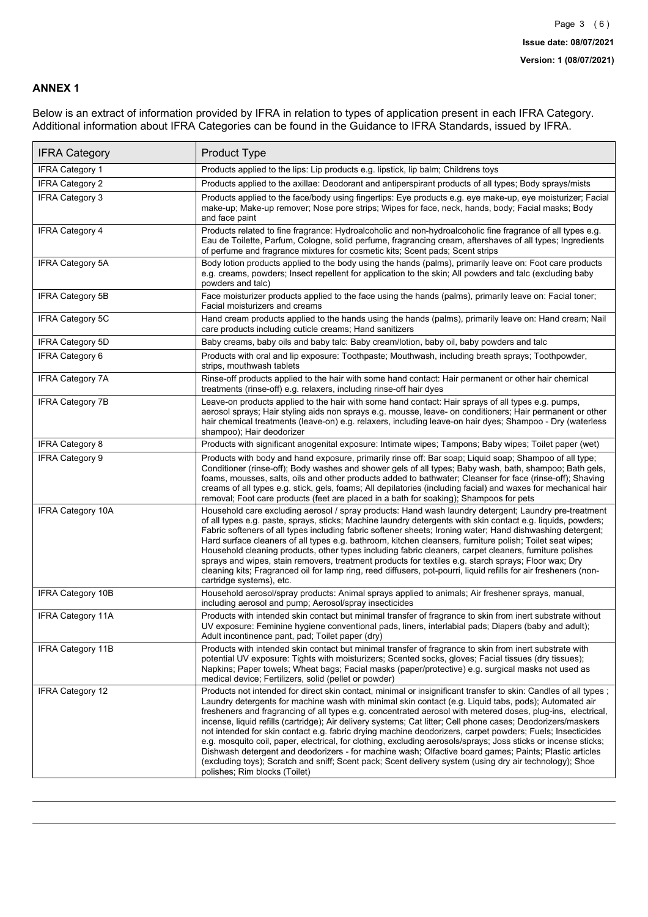### **ANNEX 1**

Below is an extract of information provided by IFRA in relation to types of application present in each IFRA Category. Additional information about IFRA Categories can be found in the Guidance to IFRA Standards, issued by IFRA.

| <b>IFRA Category</b>     | Product Type                                                                                                                                                                                                                                                                                                                                                                                                                                                                                                                                                                                                                                                                                                                                                                                                                                                                                                                                 |
|--------------------------|----------------------------------------------------------------------------------------------------------------------------------------------------------------------------------------------------------------------------------------------------------------------------------------------------------------------------------------------------------------------------------------------------------------------------------------------------------------------------------------------------------------------------------------------------------------------------------------------------------------------------------------------------------------------------------------------------------------------------------------------------------------------------------------------------------------------------------------------------------------------------------------------------------------------------------------------|
| <b>IFRA Category 1</b>   | Products applied to the lips: Lip products e.g. lipstick, lip balm; Childrens toys                                                                                                                                                                                                                                                                                                                                                                                                                                                                                                                                                                                                                                                                                                                                                                                                                                                           |
| <b>IFRA Category 2</b>   | Products applied to the axillae: Deodorant and antiperspirant products of all types; Body sprays/mists                                                                                                                                                                                                                                                                                                                                                                                                                                                                                                                                                                                                                                                                                                                                                                                                                                       |
| IFRA Category 3          | Products applied to the face/body using fingertips: Eye products e.g. eye make-up, eye moisturizer; Facial<br>make-up; Make-up remover; Nose pore strips; Wipes for face, neck, hands, body; Facial masks; Body<br>and face paint                                                                                                                                                                                                                                                                                                                                                                                                                                                                                                                                                                                                                                                                                                            |
| <b>IFRA Category 4</b>   | Products related to fine fragrance: Hydroalcoholic and non-hydroalcoholic fine fragrance of all types e.g.<br>Eau de Toilette, Parfum, Cologne, solid perfume, fragrancing cream, aftershaves of all types; Ingredients<br>of perfume and fragrance mixtures for cosmetic kits; Scent pads; Scent strips                                                                                                                                                                                                                                                                                                                                                                                                                                                                                                                                                                                                                                     |
| <b>IFRA Category 5A</b>  | Body lotion products applied to the body using the hands (palms), primarily leave on: Foot care products<br>e.g. creams, powders; Insect repellent for application to the skin; All powders and talc (excluding baby<br>powders and talc)                                                                                                                                                                                                                                                                                                                                                                                                                                                                                                                                                                                                                                                                                                    |
| IFRA Category 5B         | Face moisturizer products applied to the face using the hands (palms), primarily leave on: Facial toner;<br>Facial moisturizers and creams                                                                                                                                                                                                                                                                                                                                                                                                                                                                                                                                                                                                                                                                                                                                                                                                   |
| IFRA Category 5C         | Hand cream products applied to the hands using the hands (palms), primarily leave on: Hand cream; Nail<br>care products including cuticle creams; Hand sanitizers                                                                                                                                                                                                                                                                                                                                                                                                                                                                                                                                                                                                                                                                                                                                                                            |
| <b>IFRA Category 5D</b>  | Baby creams, baby oils and baby talc: Baby cream/lotion, baby oil, baby powders and talc                                                                                                                                                                                                                                                                                                                                                                                                                                                                                                                                                                                                                                                                                                                                                                                                                                                     |
| <b>IFRA Category 6</b>   | Products with oral and lip exposure: Toothpaste; Mouthwash, including breath sprays; Toothpowder,<br>strips, mouthwash tablets                                                                                                                                                                                                                                                                                                                                                                                                                                                                                                                                                                                                                                                                                                                                                                                                               |
| <b>IFRA Category 7A</b>  | Rinse-off products applied to the hair with some hand contact: Hair permanent or other hair chemical<br>treatments (rinse-off) e.g. relaxers, including rinse-off hair dyes                                                                                                                                                                                                                                                                                                                                                                                                                                                                                                                                                                                                                                                                                                                                                                  |
| <b>IFRA Category 7B</b>  | Leave-on products applied to the hair with some hand contact: Hair sprays of all types e.g. pumps,<br>aerosol sprays; Hair styling aids non sprays e.g. mousse, leave- on conditioners; Hair permanent or other<br>hair chemical treatments (leave-on) e.g. relaxers, including leave-on hair dyes; Shampoo - Dry (waterless<br>shampoo); Hair deodorizer                                                                                                                                                                                                                                                                                                                                                                                                                                                                                                                                                                                    |
| <b>IFRA Category 8</b>   | Products with significant anogenital exposure: Intimate wipes; Tampons; Baby wipes; Toilet paper (wet)                                                                                                                                                                                                                                                                                                                                                                                                                                                                                                                                                                                                                                                                                                                                                                                                                                       |
| <b>IFRA Category 9</b>   | Products with body and hand exposure, primarily rinse off: Bar soap; Liquid soap; Shampoo of all type;<br>Conditioner (rinse-off); Body washes and shower gels of all types; Baby wash, bath, shampoo; Bath gels,<br>foams, mousses, salts, oils and other products added to bathwater; Cleanser for face (rinse-off); Shaving<br>creams of all types e.g. stick, gels, foams; All depilatories (including facial) and waxes for mechanical hair<br>removal; Foot care products (feet are placed in a bath for soaking); Shampoos for pets                                                                                                                                                                                                                                                                                                                                                                                                   |
| <b>IFRA Category 10A</b> | Household care excluding aerosol / spray products: Hand wash laundry detergent; Laundry pre-treatment<br>of all types e.g. paste, sprays, sticks; Machine laundry detergents with skin contact e.g. liquids, powders;<br>Fabric softeners of all types including fabric softener sheets; Ironing water; Hand dishwashing detergent;<br>Hard surface cleaners of all types e.g. bathroom, kitchen cleansers, furniture polish; Toilet seat wipes;<br>Household cleaning products, other types including fabric cleaners, carpet cleaners, furniture polishes<br>sprays and wipes, stain removers, treatment products for textiles e.g. starch sprays; Floor wax; Dry<br>cleaning kits; Fragranced oil for lamp ring, reed diffusers, pot-pourri, liquid refills for air fresheners (non-<br>cartridge systems), etc.                                                                                                                          |
| <b>IFRA Category 10B</b> | Household aerosol/spray products: Animal sprays applied to animals; Air freshener sprays, manual,<br>including aerosol and pump; Aerosol/spray insecticides                                                                                                                                                                                                                                                                                                                                                                                                                                                                                                                                                                                                                                                                                                                                                                                  |
| <b>IFRA Category 11A</b> | Products with intended skin contact but minimal transfer of fragrance to skin from inert substrate without<br>UV exposure: Feminine hygiene conventional pads, liners, interlabial pads; Diapers (baby and adult);<br>Adult incontinence pant, pad; Toilet paper (dry)                                                                                                                                                                                                                                                                                                                                                                                                                                                                                                                                                                                                                                                                       |
| <b>IFRA Category 11B</b> | Products with intended skin contact but minimal transfer of fragrance to skin from inert substrate with<br>potential UV exposure: Tights with moisturizers; Scented socks, gloves; Facial tissues (dry tissues);<br>Napkins; Paper towels; Wheat bags; Facial masks (paper/protective) e.g. surgical masks not used as<br>medical device; Fertilizers, solid (pellet or powder)                                                                                                                                                                                                                                                                                                                                                                                                                                                                                                                                                              |
| <b>IFRA Category 12</b>  | Products not intended for direct skin contact, minimal or insignificant transfer to skin: Candles of all types;<br>Laundry detergents for machine wash with minimal skin contact (e.g. Liquid tabs, pods); Automated air<br>fresheners and fragrancing of all types e.g. concentrated aerosol with metered doses, plug-ins, electrical,<br>incense, liquid refills (cartridge); Air delivery systems; Cat litter; Cell phone cases; Deodorizers/maskers<br>not intended for skin contact e.g. fabric drying machine deodorizers, carpet powders; Fuels; Insecticides<br>e.g. mosquito coil, paper, electrical, for clothing, excluding aerosols/sprays; Joss sticks or incense sticks;<br>Dishwash detergent and deodorizers - for machine wash; Olfactive board games; Paints; Plastic articles<br>(excluding toys); Scratch and sniff; Scent pack; Scent delivery system (using dry air technology); Shoe<br>polishes; Rim blocks (Toilet) |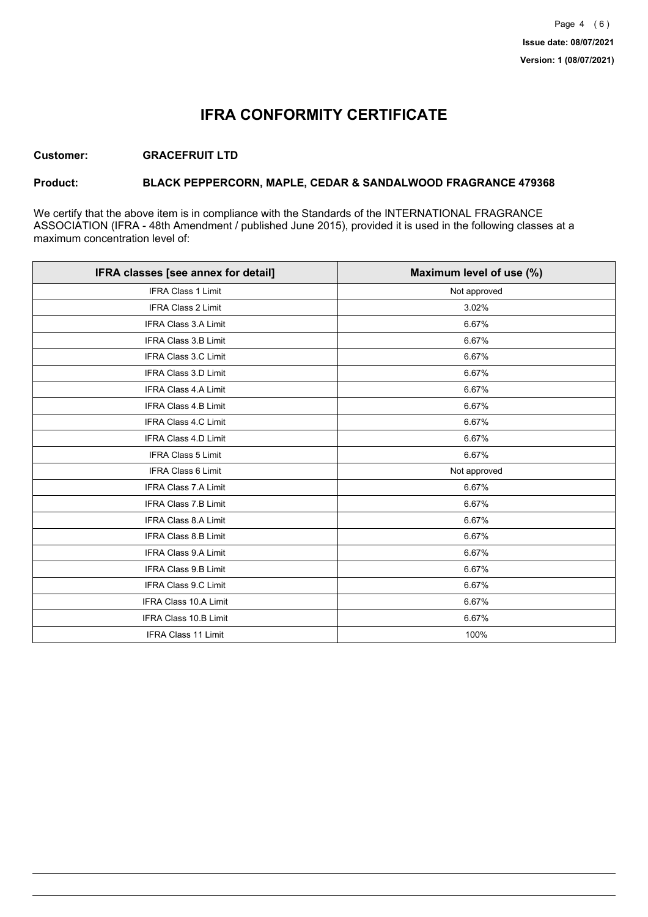## **IFRA CONFORMITY CERTIFICATE**

### **Customer: GRACEFRUIT LTD**

### **Product: BLACK PEPPERCORN, MAPLE, CEDAR & SANDALWOOD FRAGRANCE 479368**

We certify that the above item is in compliance with the Standards of the INTERNATIONAL FRAGRANCE ASSOCIATION (IFRA - 48th Amendment / published June 2015), provided it is used in the following classes at a maximum concentration level of:

| IFRA classes [see annex for detail] | Maximum level of use (%) |
|-------------------------------------|--------------------------|
| <b>IFRA Class 1 Limit</b>           | Not approved             |
| IFRA Class 2 Limit                  | 3.02%                    |
| <b>IFRA Class 3.A Limit</b>         | 6.67%                    |
| IFRA Class 3.B Limit                | 6.67%                    |
| IFRA Class 3.C Limit                | 6.67%                    |
| IFRA Class 3.D Limit                | 6.67%                    |
| <b>IFRA Class 4.A Limit</b>         | 6.67%                    |
| <b>IFRA Class 4.B Limit</b>         | 6.67%                    |
| IFRA Class 4.C Limit                | 6.67%                    |
| <b>IFRA Class 4.D Limit</b>         | 6.67%                    |
| <b>IFRA Class 5 Limit</b>           | 6.67%                    |
| <b>IFRA Class 6 Limit</b>           | Not approved             |
| <b>IFRA Class 7.A Limit</b>         | 6.67%                    |
| IFRA Class 7.B Limit                | 6.67%                    |
| IFRA Class 8.A Limit                | 6.67%                    |
| IFRA Class 8.B Limit                | 6.67%                    |
| <b>IFRA Class 9.A Limit</b>         | 6.67%                    |
| <b>IFRA Class 9.B Limit</b>         | 6.67%                    |
| IFRA Class 9.C Limit                | 6.67%                    |
| IFRA Class 10.A Limit               | 6.67%                    |
| IFRA Class 10.B Limit               | 6.67%                    |
| <b>IFRA Class 11 Limit</b>          | 100%                     |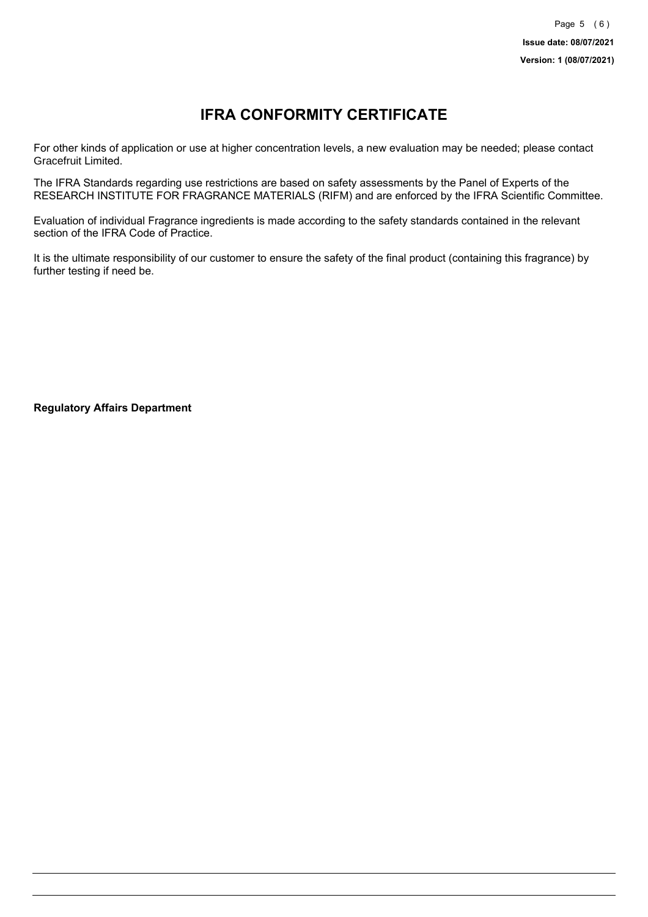# **IFRA CONFORMITY CERTIFICATE**

For other kinds of application or use at higher concentration levels, a new evaluation may be needed; please contact Gracefruit Limited.

The IFRA Standards regarding use restrictions are based on safety assessments by the Panel of Experts of the RESEARCH INSTITUTE FOR FRAGRANCE MATERIALS (RIFM) and are enforced by the IFRA Scientific Committee.

Evaluation of individual Fragrance ingredients is made according to the safety standards contained in the relevant section of the IFRA Code of Practice.

It is the ultimate responsibility of our customer to ensure the safety of the final product (containing this fragrance) by further testing if need be.

**Regulatory Affairs Department**